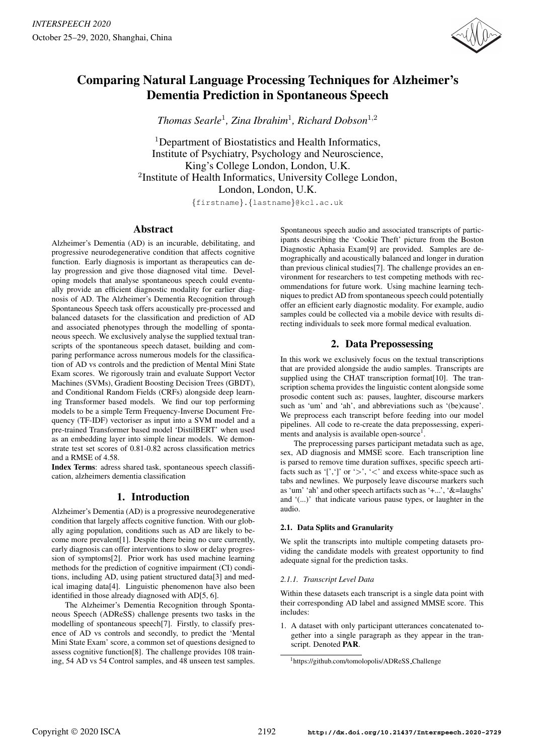

# Comparing Natural Language Processing Techniques for Alzheimer's Dementia Prediction in Spontaneous Speech

*Thomas Searle*<sup>1</sup> *, Zina Ibrahim*<sup>1</sup> *, Richard Dobson*<sup>1</sup>,<sup>2</sup>

<sup>1</sup>Department of Biostatistics and Health Informatics, Institute of Psychiatry, Psychology and Neuroscience, King's College London, London, U.K. <sup>2</sup>Institute of Health Informatics, University College London, London, London, U.K.

{firstname}.{lastname}@kcl.ac.uk

## Abstract

Alzheimer's Dementia (AD) is an incurable, debilitating, and progressive neurodegenerative condition that affects cognitive function. Early diagnosis is important as therapeutics can delay progression and give those diagnosed vital time. Developing models that analyse spontaneous speech could eventually provide an efficient diagnostic modality for earlier diagnosis of AD. The Alzheimer's Dementia Recognition through Spontaneous Speech task offers acoustically pre-processed and balanced datasets for the classification and prediction of AD and associated phenotypes through the modelling of spontaneous speech. We exclusively analyse the supplied textual transcripts of the spontaneous speech dataset, building and comparing performance across numerous models for the classification of AD vs controls and the prediction of Mental Mini State Exam scores. We rigorously train and evaluate Support Vector Machines (SVMs), Gradient Boosting Decision Trees (GBDT), and Conditional Random Fields (CRFs) alongside deep learning Transformer based models. We find our top performing models to be a simple Term Frequency-Inverse Document Frequency (TF-IDF) vectoriser as input into a SVM model and a pre-trained Transformer based model 'DistilBERT' when used as an embedding layer into simple linear models. We demonstrate test set scores of 0.81-0.82 across classification metrics and a RMSE of 4.58.

Index Terms: adress shared task, spontaneous speech classification, alzheimers dementia classification

# 1. Introduction

Alzheimer's Dementia (AD) is a progressive neurodegenerative condition that largely affects cognitive function. With our globally aging population, conditions such as AD are likely to become more prevalent[1]. Despite there being no cure currently, early diagnosis can offer interventions to slow or delay progression of symptoms[2]. Prior work has used machine learning methods for the prediction of cognitive impairment (CI) conditions, including AD, using patient structured data[3] and medical imaging data[4]. Linguistic phenomenon have also been identified in those already diagnosed with AD[5, 6].

The Alzheimer's Dementia Recognition through Spontaneous Speech (ADReSS) challenge presents two tasks in the modelling of spontaneous speech[7]. Firstly, to classify presence of AD vs controls and secondly, to predict the 'Mental Mini State Exam' score, a common set of questions designed to assess cognitive function[8]. The challenge provides 108 training, 54 AD vs 54 Control samples, and 48 unseen test samples.

Spontaneous speech audio and associated transcripts of participants describing the 'Cookie Theft' picture from the Boston Diagnostic Aphasia Exam[9] are provided. Samples are demographically and acoustically balanced and longer in duration than previous clinical studies[7]. The challenge provides an environment for researchers to test competing methods with recommendations for future work. Using machine learning techniques to predict AD from spontaneous speech could potentially offer an efficient early diagnostic modality. For example, audio samples could be collected via a mobile device with results directing individuals to seek more formal medical evaluation.

# 2. Data Prepossessing

In this work we exclusively focus on the textual transcriptions that are provided alongside the audio samples. Transcripts are supplied using the CHAT transcription format[10]. The transcription schema provides the linguistic content alongside some prosodic content such as: pauses, laughter, discourse markers such as 'um' and 'ah', and abbreviations such as '(be)cause'. We preprocess each transcript before feeding into our model pipelines. All code to re-create the data prepossessing, experiments and analysis is available open-source<sup>1</sup>.

The preprocessing parses participant metadata such as age, sex, AD diagnosis and MMSE score. Each transcription line is parsed to remove time duration suffixes, specific speech artifacts such as '[',']' or '>', '<' and excess white-space such as tabs and newlines. We purposely leave discourse markers such as 'um' 'ah' and other speech artifacts such as '+...', '&=laughs' and '(...)' that indicate various pause types, or laughter in the audio.

## 2.1. Data Splits and Granularity

We split the transcripts into multiple competing datasets providing the candidate models with greatest opportunity to find adequate signal for the prediction tasks.

## *2.1.1. Transcript Level Data*

Within these datasets each transcript is a single data point with their corresponding AD label and assigned MMSE score. This includes:

1. A dataset with only participant utterances concatenated together into a single paragraph as they appear in the transcript. Denoted PAR.

<sup>1</sup>https://github.com/tomolopolis/ADReSS Challenge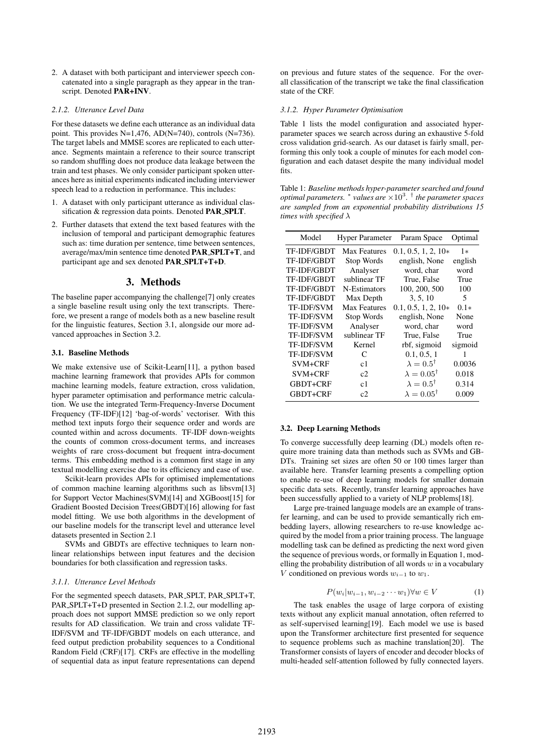2. A dataset with both participant and interviewer speech concatenated into a single paragraph as they appear in the transcript. Denoted PAR+INV.

#### *2.1.2. Utterance Level Data*

For these datasets we define each utterance as an individual data point. This provides N=1,476, AD(N=740), controls (N=736). The target labels and MMSE scores are replicated to each utterance. Segments maintain a reference to their source transcript so random shuffling does not produce data leakage between the train and test phases. We only consider participant spoken utterances here as initial experiments indicated including interviewer speech lead to a reduction in performance. This includes:

- 1. A dataset with only participant utterance as individual classification & regression data points. Denoted PAR SPLT.
- 2. Further datasets that extend the text based features with the inclusion of temporal and participant demographic features such as: time duration per sentence, time between sentences, average/max/min sentence time denoted PAR SPLT+T, and participant age and sex denoted PAR SPLT+T+D.

## 3. Methods

The baseline paper accompanying the challenge[7] only creates a single baseline result using only the text transcripts. Therefore, we present a range of models both as a new baseline result for the linguistic features, Section 3.1, alongside our more advanced approaches in Section 3.2.

## 3.1. Baseline Methods

We make extensive use of Scikit-Learn[11], a python based machine learning framework that provides APIs for common machine learning models, feature extraction, cross validation, hyper parameter optimisation and performance metric calculation. We use the integrated Term-Frequency-Inverse Document Frequency (TF-IDF)[12] 'bag-of-words' vectoriser. With this method text inputs forgo their sequence order and words are counted within and across documents. TF-IDF down-weights the counts of common cross-document terms, and increases weights of rare cross-document but frequent intra-document terms. This embedding method is a common first stage in any textual modelling exercise due to its efficiency and ease of use.

Scikit-learn provides APIs for optimised implementations of common machine learning algorithms such as libsvm[13] for Support Vector Machines(SVM)[14] and XGBoost[15] for Gradient Boosted Decision Trees(GBDT)[16] allowing for fast model fitting. We use both algorithms in the development of our baseline models for the transcript level and utterance level datasets presented in Section 2.1

SVMs and GBDTs are effective techniques to learn nonlinear relationships between input features and the decision boundaries for both classification and regression tasks.

#### *3.1.1. Utterance Level Methods*

For the segmented speech datasets, PAR SPLT, PAR SPLT+T, PAR SPLT+T+D presented in Section 2.1.2, our modelling approach does not support MMSE prediction so we only report results for AD classification. We train and cross validate TF-IDF/SVM and TF-IDF/GBDT models on each utterance, and feed output prediction probability sequences to a Conditional Random Field (CRF)[17]. CRFs are effective in the modelling of sequential data as input feature representations can depend on previous and future states of the sequence. For the overall classification of the transcript we take the final classification state of the CRF.

#### *3.1.2. Hyper Parameter Optimisation*

Table 1 lists the model configuration and associated hyperparameter spaces we search across during an exhaustive 5-fold cross validation grid-search. As our dataset is fairly small, performing this only took a couple of minutes for each model configuration and each dataset despite the many individual model fits.

Table 1: *Baseline methods hyper-parameter searched and found optimal parameters.* <sup>∗</sup> *values are* ×10<sup>3</sup> *.* † *the parameter spaces are sampled from an exponential probability distributions 15 times with specified* λ

| Model              | <b>Hyper Parameter</b> | Param Space                | Optimal |
|--------------------|------------------------|----------------------------|---------|
| TF-IDF/GBDT        | <b>Max Features</b>    | $0.1, 0.5, 1, 2, 10*$      | 1*      |
| <b>TF-IDF/GBDT</b> | Stop Words             | english, None              | english |
| <b>TF-IDF/GBDT</b> | Analyser               | word, char                 | word    |
| <b>TF-IDF/GBDT</b> | sublinear TF           | True, False                | True    |
| <b>TF-IDF/GBDT</b> | N-Estimators           | 100, 200, 500              | 100     |
| <b>TF-IDF/GBDT</b> | Max Depth              | 3, 5, 10                   | 5       |
| <b>TF-IDF/SVM</b>  | <b>Max Features</b>    | $0.1, 0.5, 1, 2, 10*$      | $0.1*$  |
| <b>TF-IDF/SVM</b>  | Stop Words             | english, None              | None    |
| <b>TF-IDF/SVM</b>  | Analyser               | word, char                 | word    |
| <b>TF-IDF/SVM</b>  | sublinear TF           | True, False                | True    |
| <b>TF-IDF/SVM</b>  | Kernel                 | rbf, sigmoid               | sigmoid |
| <b>TF-IDF/SVM</b>  | C                      | 0.1, 0.5, 1                | 1       |
| SVM+CRF            | c1                     | $\lambda = 0.5^{\dagger}$  | 0.0036  |
| SVM+CRF            | c2                     | $\lambda = 0.05^{\dagger}$ | 0.018   |
| GBDT+CRF           | c1                     | $\lambda = 0.5^{\dagger}$  | 0.314   |
| GBDT+CRF           | c2                     | $\lambda = 0.05^{\dagger}$ | 0.009   |

### 3.2. Deep Learning Methods

To converge successfully deep learning (DL) models often require more training data than methods such as SVMs and GB-DTs. Training set sizes are often 50 or 100 times larger than available here. Transfer learning presents a compelling option to enable re-use of deep learning models for smaller domain specific data sets. Recently, transfer learning approaches have been successfully applied to a variety of NLP problems[18].

Large pre-trained language models are an example of transfer learning, and can be used to provide semantically rich embedding layers, allowing researchers to re-use knowledge acquired by the model from a prior training process. The language modelling task can be defined as predicting the next word given the sequence of previous words, or formally in Equation 1, modelling the probability distribution of all words  $w$  in a vocabulary V conditioned on previous words  $w_{i-1}$  to  $w_1$ .

$$
P(w_i|w_{i-1}, w_{i-2} \cdots w_1) \forall w \in V \tag{1}
$$

The task enables the usage of large corpora of existing texts without any explicit manual annotation, often referred to as self-supervised learning[19]. Each model we use is based upon the Transformer architecture first presented for sequence to sequence problems such as machine translation[20]. The Transformer consists of layers of encoder and decoder blocks of multi-headed self-attention followed by fully connected layers.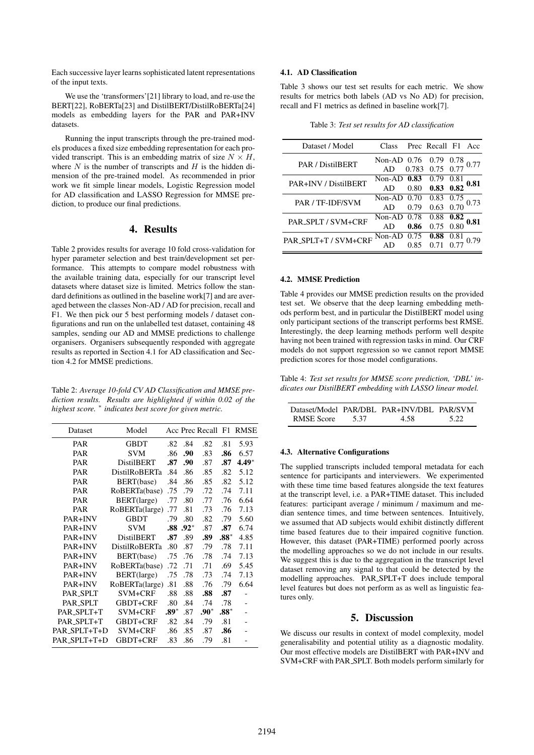Each successive layer learns sophisticated latent representations of the input texts.

We use the 'transformers'<sup>[21]</sup> library to load, and re-use the BERT[22], RoBERTa[23] and DistilBERT/DistilRoBERTa[24] models as embedding layers for the PAR and PAR+INV datasets.

Running the input transcripts through the pre-trained models produces a fixed size embedding representation for each provided transcript. This is an embedding matrix of size  $N \times H$ , where  $N$  is the number of transcripts and  $H$  is the hidden dimension of the pre-trained model. As recommended in prior work we fit simple linear models, Logistic Regression model for AD classification and LASSO Regression for MMSE prediction, to produce our final predictions.

## 4. Results

Table 2 provides results for average 10 fold cross-validation for hyper parameter selection and best train/development set performance. This attempts to compare model robustness with the available training data, especially for our transcript level datasets where dataset size is limited. Metrics follow the standard definitions as outlined in the baseline work[7] and are averaged between the classes Non-AD / AD for precision, recall and F1. We then pick our 5 best performing models / dataset configurations and run on the unlabelled test dataset, containing 48 samples, sending our AD and MMSE predictions to challenge organisers. Organisers subsequently responded with aggregate results as reported in Section 4.1 for AD classification and Section 4.2 for MMSE predictions.

Table 2: *Average 10-fold CV AD Classification and MMSE prediction results. Results are highlighted if within 0.02 of the highest score.* <sup>∗</sup> *indicates best score for given metric.*

| Dataset        | Model                |      |        |        |        | Acc Prec Recall F1 RMSE |
|----------------|----------------------|------|--------|--------|--------|-------------------------|
| <b>PAR</b>     | GBDT                 | .82  | .84    | .82    | .81    | 5.93                    |
| PAR            | SVM                  | .86  | .90    | .83    | .86    | 6.57                    |
| <b>PAR</b>     | <b>DistilBERT</b>    | .87  | .90    | .87    | .87    | $4.49*$                 |
| <b>PAR</b>     | DistilRoBERTa        | .84  | .86    | .85    | .82    | 5.12                    |
| <b>PAR</b>     | BERT(base)           | .84  | .86    | .85    | .82    | 5.12                    |
| PAR            | RoBERTa(base)        | .75  | .79    | .72    | .74    | 7.11                    |
| PAR            | BERT(large)          | .77  | .80    | .77    | .76    | 6.64                    |
| <b>PAR</b>     | RoBERTa(large)       | .77  | .81    | .73    | .76    | 7.13                    |
| <b>PAR+INV</b> | <b>GBDT</b>          | .79  | .80    | .82    | .79    | 5.60                    |
| <b>PAR+INV</b> | SVM                  | .88  | $.92*$ | .87    | .87    | 6.74                    |
| <b>PAR+INV</b> | <b>DistilBERT</b>    | .87  | .89    | .89    | $.88*$ | 4.85                    |
| <b>PAR+INV</b> | <b>DistilRoBERTa</b> | .80  | .87    | .79    | .78    | 7.11                    |
| <b>PAR+INV</b> | BERT(base)           | .75  | .76    | .78    | .74    | 7.13                    |
| PAR+INV        | RoBERTa(base)        | .72  | .71    | .71    | .69    | 5.45                    |
| <b>PAR+INV</b> | BERT(large)          | .75  | .78    | .73    | .74    | 7.13                    |
| <b>PAR+INV</b> | RoBERTa(large)       | .81  | .88    | .76    | .79    | 6.64                    |
| PAR_SPLT       | SVM+CRF              | .88  | .88    | .88    | .87    |                         |
| PAR_SPLT       | GBDT+CRF             | .80  | .84    | .74    | .78    |                         |
| PAR_SPLT+T     | SVM+CRF              | .89* | .87    | $.90*$ | $.88*$ |                         |
| PAR_SPLT+T     | GBDT+CRF             | .82  | .84    | .79    | .81    |                         |
| PAR_SPLT+T+D   | SVM+CRF              | .86  | .85    | .87    | .86    |                         |
| PAR_SPLT+T+D   | GBDT+CRF             | .83  | .86    | .79    | .81    |                         |

## 4.1. AD Classification

Table 3 shows our test set results for each metric. We show results for metrics both labels (AD vs No AD) for precision, recall and F1 metrics as defined in baseline work[7].

Table 3: *Test set results for AD classification*

| Dataset / Model      | Class         |       | Prec Recall F1 |      | - Acc |
|----------------------|---------------|-------|----------------|------|-------|
| PAR / DistilBERT     | Non-AD $0.76$ |       | 0.79           | 0.78 |       |
|                      |               | 0.783 | 0.75 0.77      |      |       |
| PAR+INV / DistilBERT | Non-AD $0.83$ |       | 0.79           | 0.81 | 0.81  |
|                      |               | 0.80  | $0.83$ $0.82$  |      |       |
| PAR / TF-IDF/SVM     | Non-AD $0.70$ |       | 0.83 0.75      |      |       |
|                      | AD            | 0.79  | $0.63$ 0.70    |      |       |
| PAR_SPLT / SVM+CRF   | Non-AD 0.78   |       | 0.88           | 0.82 |       |
|                      | AD            | 0.86  | 0.75 0.80      |      |       |
| PAR_SPLT+T / SVM+CRF | $Non-AD$      | 0.75  | 0.88           | 0.81 |       |
|                      |               |       | 0.71           |      |       |
|                      |               |       |                |      |       |

#### 4.2. MMSE Prediction

Table 4 provides our MMSE prediction results on the provided test set. We observe that the deep learning embedding methods perform best, and in particular the DistilBERT model using only participant sections of the transcript performs best RMSE. Interestingly, the deep learning methods perform well despite having not been trained with regression tasks in mind. Our CRF models do not support regression so we cannot report MMSE prediction scores for those model configurations.

Table 4: *Test set results for MMSE score prediction, 'DBL' indicates our DistilBERT embedding with LASSO linear model.*

|                   |      | Dataset/Model PAR/DBL PAR+INV/DBL PAR/SVM |       |
|-------------------|------|-------------------------------------------|-------|
| <b>RMSE</b> Score | 5.37 | 4 58                                      | -5.22 |

#### 4.3. Alternative Configurations

The supplied transcripts included temporal metadata for each sentence for participants and interviewers. We experimented with these time time based features alongside the text features at the transcript level, i.e. a PAR+TIME dataset. This included features: participant average / minimum / maximum and median sentence times, and time between sentences. Intuitively, we assumed that AD subjects would exhibit distinctly different time based features due to their impaired cognitive function. However, this dataset (PAR+TIME) performed poorly across the modelling approaches so we do not include in our results. We suggest this is due to the aggregation in the transcript level dataset removing any signal to that could be detected by the modelling approaches. PAR SPLT+T does include temporal level features but does not perform as as well as linguistic features only.

## 5. Discussion

We discuss our results in context of model complexity, model generalisability and potential utility as a diagnostic modality. Our most effective models are DistilBERT with PAR+INV and SVM+CRF with PAR SPLT. Both models perform similarly for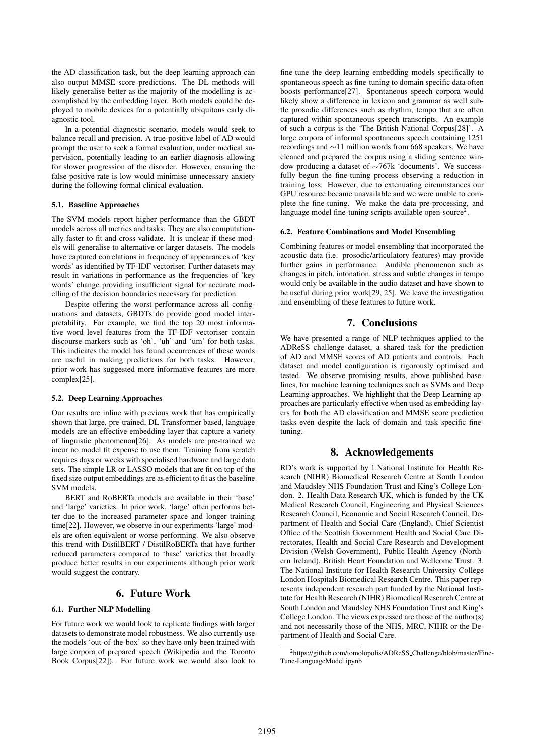the AD classification task, but the deep learning approach can also output MMSE score predictions. The DL methods will likely generalise better as the majority of the modelling is accomplished by the embedding layer. Both models could be deployed to mobile devices for a potentially ubiquitous early diagnostic tool.

In a potential diagnostic scenario, models would seek to balance recall and precision. A true-positive label of AD would prompt the user to seek a formal evaluation, under medical supervision, potentially leading to an earlier diagnosis allowing for slower progression of the disorder. However, ensuring the false-positive rate is low would minimise unnecessary anxiety during the following formal clinical evaluation.

#### 5.1. Baseline Approaches

The SVM models report higher performance than the GBDT models across all metrics and tasks. They are also computationally faster to fit and cross validate. It is unclear if these models will generalise to alternative or larger datasets. The models have captured correlations in frequency of appearances of 'key words' as identified by TF-IDF vectoriser. Further datasets may result in variations in performance as the frequencies of 'key words' change providing insufficient signal for accurate modelling of the decision boundaries necessary for prediction.

Despite offering the worst performance across all configurations and datasets, GBDTs do provide good model interpretability. For example, we find the top 20 most informative word level features from the TF-IDF vectoriser contain discourse markers such as 'oh', 'uh' and 'um' for both tasks. This indicates the model has found occurrences of these words are useful in making predictions for both tasks. However, prior work has suggested more informative features are more complex[25].

#### 5.2. Deep Learning Approaches

Our results are inline with previous work that has empirically shown that large, pre-trained, DL Transformer based, language models are an effective embedding layer that capture a variety of linguistic phenomenon[26]. As models are pre-trained we incur no model fit expense to use them. Training from scratch requires days or weeks with specialised hardware and large data sets. The simple LR or LASSO models that are fit on top of the fixed size output embeddings are as efficient to fit as the baseline SVM models.

BERT and RoBERTa models are available in their 'base' and 'large' varieties. In prior work, 'large' often performs better due to the increased parameter space and longer training time[22]. However, we observe in our experiments 'large' models are often equivalent or worse performing. We also observe this trend with DistilBERT / DistilRoBERTa that have further reduced parameters compared to 'base' varieties that broadly produce better results in our experiments although prior work would suggest the contrary.

#### 6. Future Work

#### 6.1. Further NLP Modelling

For future work we would look to replicate findings with larger datasets to demonstrate model robustness. We also currently use the models 'out-of-the-box' so they have only been trained with large corpora of prepared speech (Wikipedia and the Toronto Book Corpus[22]). For future work we would also look to

fine-tune the deep learning embedding models specifically to spontaneous speech as fine-tuning to domain specific data often boosts performance[27]. Spontaneous speech corpora would likely show a difference in lexicon and grammar as well subtle prosodic differences such as rhythm, tempo that are often captured within spontaneous speech transcripts. An example of such a corpus is the 'The British National Corpus[28]'. A large corpora of informal spontaneous speech containing 1251 recordings and ∼11 million words from 668 speakers. We have cleaned and prepared the corpus using a sliding sentence window producing a dataset of ∼767k 'documents'. We successfully begun the fine-tuning process observing a reduction in training loss. However, due to extenuating circumstances our GPU resource became unavailable and we were unable to complete the fine-tuning. We make the data pre-processing, and language model fine-tuning scripts available open-source<sup>2</sup>.

#### 6.2. Feature Combinations and Model Ensembling

Combining features or model ensembling that incorporated the acoustic data (i.e. prosodic/articulatory features) may provide further gains in performance. Audible phenomenon such as changes in pitch, intonation, stress and subtle changes in tempo would only be available in the audio dataset and have shown to be useful during prior work[29, 25]. We leave the investigation and ensembling of these features to future work.

## 7. Conclusions

We have presented a range of NLP techniques applied to the ADReSS challenge dataset, a shared task for the prediction of AD and MMSE scores of AD patients and controls. Each dataset and model configuration is rigorously optimised and tested. We observe promising results, above published baselines, for machine learning techniques such as SVMs and Deep Learning approaches. We highlight that the Deep Learning approaches are particularly effective when used as embedding layers for both the AD classification and MMSE score prediction tasks even despite the lack of domain and task specific finetuning.

# 8. Acknowledgements

RD's work is supported by 1.National Institute for Health Research (NIHR) Biomedical Research Centre at South London and Maudsley NHS Foundation Trust and King's College London. 2. Health Data Research UK, which is funded by the UK Medical Research Council, Engineering and Physical Sciences Research Council, Economic and Social Research Council, Department of Health and Social Care (England), Chief Scientist Office of the Scottish Government Health and Social Care Directorates, Health and Social Care Research and Development Division (Welsh Government), Public Health Agency (Northern Ireland), British Heart Foundation and Wellcome Trust. 3. The National Institute for Health Research University College London Hospitals Biomedical Research Centre. This paper represents independent research part funded by the National Institute for Health Research (NIHR) Biomedical Research Centre at South London and Maudsley NHS Foundation Trust and King's College London. The views expressed are those of the author(s) and not necessarily those of the NHS, MRC, NIHR or the Department of Health and Social Care.

<sup>2</sup>https://github.com/tomolopolis/ADReSS Challenge/blob/master/Fine-Tune-LanguageModel.ipynb